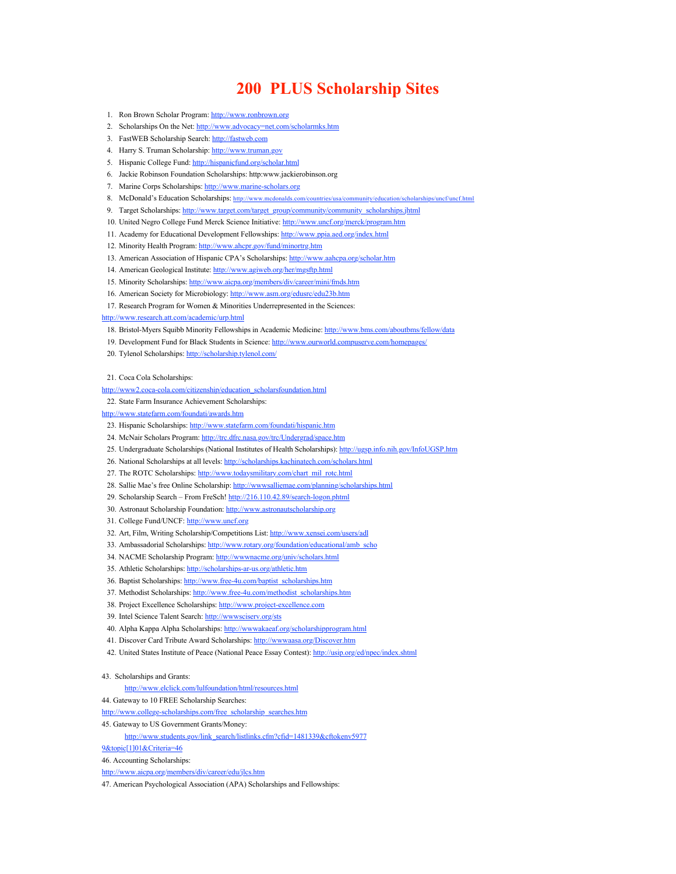# **200 PLUS Scholarship Sites**

- 1. Ron Brown Scholar Program: [http://www.ronbrown.org](http://www.ronbrown.org/)
- 2. Scholarships On the Net:<http://www.advocacy=net.com/scholarmks.htm>
- 3. FastWEB Scholarship Search: [http://fastweb.com](http://fastweb.com/)
- 4. Harry S. Truman Scholarship: [http://www.truman.gov](http://www.truman.gov/)
- 5. Hispanic College Fund:<http://hispanicfund.org/scholar.html>
- 6. Jackie Robinson Foundation Scholarships: http:www.jackierobinson.org
- 7. Marine Corps Scholarships: [http://www.marine-scholars.org](http://www.marine-scholars.org/)
- 8. McDonald's Education Scholarships:<http://www.mcdonalds.com/countries/usa/community/education/scholarships/uncf/uncf.html>
- 9. Target Scholarships: [http://www.target.com/target\\_group/community/community\\_scholarships.jhtml](http://www.target.com/target_group/community/community_scholarships.jhtml)
- 10. United Negro College Fund Merck Science Initiative:<http://www.uncf.org/merck/program.htm>
- 11. Academy for Educational Development Fellowships: <http://www.ppia.aed.org/index.html>
- 12. Minority Health Program:<http://www.ahcpr.gov/fund/minortrg.htm>
- 13. American Association of Hispanic CPA's Scholarships:<http://www.aahcpa.org/scholar.htm>
- 14. American Geological Institute:<http://www.agiweb.org/her/mgsftp.html>
- 15. Minority Scholarships:<http://www.aicpa.org/members/div/career/mini/fmds.htm>
- 16. American Society for Microbiology: <http://www.asm.org/edusrc/edu23b.htm>
- 17. Research Program for Women & Minorities Underrepresented in the Sciences:

<http://www.research.att.com/academic/urp.html>

- 18. Bristol-Myers Squibb Minority Fellowships in Academic Medicine:<http://www.bms.com/aboutbms/fellow/data>
- 19. Development Fund for Black Students in Science:<http://www.ourworld.compuserve.com/homepages/>
- 20. Tylenol Scholarships: <http://scholarship.tylenol.com/>
- 21. Coca Cola Scholarships:
- [http://www2.coca-cola.com/citizenship/education\\_scholarsfoundation.html](http://www2.coca-cola.com/citizenship/education_scholarsfoundation.html)
- 22. State Farm Insurance Achievement Scholarships:
- <http://www.statefarm.com/foundati/awards.htm>
- 23. Hispanic Scholarships: <http://www.statefarm.com/foundati/hispanic.htm>
- 24. McNair Scholars Program: <http://trc.dfrc.nasa.gov/trc/Undergrad/space.htm>
- 25. Undergraduate Scholarships (National Institutes of Health Scholarships): <http://ugsp.info.nih.gov/InfoUGSP.htm>
- 26. National Scholarships at all levels:<http://scholarships.kachinatech.com/scholars.html>
- 27. The ROTC Scholarships: [http://www.todaysmilitary.com/chart\\_mil\\_rotc.html](http://www.todaysmilitary.com/chart_mil_rotc.html)
- 28. Sallie Mae's free Online Scholarship:<http://wwwsalliemae.com/planning/scholarships.html>
- 29. Scholarship Search From FreSch!<http://216.110.42.89/search-logon.phtml>
- 30. Astronaut Scholarship Foundation: [http://www.astronautscholarship.org](http://www.astronautscholarship.org/)
- 31. College Fund/UNCF: [http://www.uncf.org](http://www.uncf.org/)
- 32. Art, Film, Writing Scholarship/Competitions List: <http://www.xensei.com/users/adl>
- 33. Ambassadorial Scholarships: [http://www.rotary.org/foundation/educational/amb\\_scho](http://www.rotary.org/foundation/educational/amb_scho)
- 34. NACME Scholarship Program: <http://wwwnacme.org/univ/scholars.html>
- 35. Athletic Scholarships:<http://scholarships-ar-us.org/athletic.htm>
- 36. Baptist Scholarships: [http://www.free-4u.com/baptist\\_scholarships.htm](http://www.free-4u.com/baptist_scholarships.htm)
- 37. Methodist Scholarships: [http://www.free-4u.com/methodist\\_scholarships.htm](http://www.free-4u.com/methodist_scholarships.htm)
- 38. Project Excellence Scholarships: [http://www.project-excellence.com](http://www.project-excellence.com/)
- 39. Intel Science Talent Search: <http://wwwsciserv.org/sts>
- 40. Alpha Kappa Alpha Scholarships:<http://wwwakaeaf.org/scholarshipprogram.html>
- 41. Discover Card Tribute Award Scholarships:<http://wwwaasa.org/Discover.htm>
- 42. United States Institute of Peace (National Peace Essay Contest): <http://usip.org/ed/npec/index.shtml>
- 43. Scholarships and Grants:
	- <http://www.elclick.com/lulfoundation/html/resources.html>
- 44. Gateway to 10 FREE Scholarship Searches:
- [http://www.college-scholarships.com/free\\_scholarship\\_searches.htm](http://www.college-scholarships.com/free_scholarship_searches.htm)
- 45. Gateway to US Government Grants/Money:
	- [http://www.students.gov/link\\_search/listlinks.cfm?cfid=1481339&cftokenv5977](http://www.students.gov/link_search/listlinks.cfm?cfid=1481339&cftokenv59779&topic%5b1%5d01&Criteria=46)
- [9&topic\[1\]01&Criteria=46](http://www.students.gov/link_search/listlinks.cfm?cfid=1481339&cftokenv59779&topic%5b1%5d01&Criteria=46)
- 46. Accounting Scholarships:
- <http://www.aicpa.org/members/div/career/edu/jlcs.htm>
- 47. American Psychological Association (APA) Scholarships and Fellowships: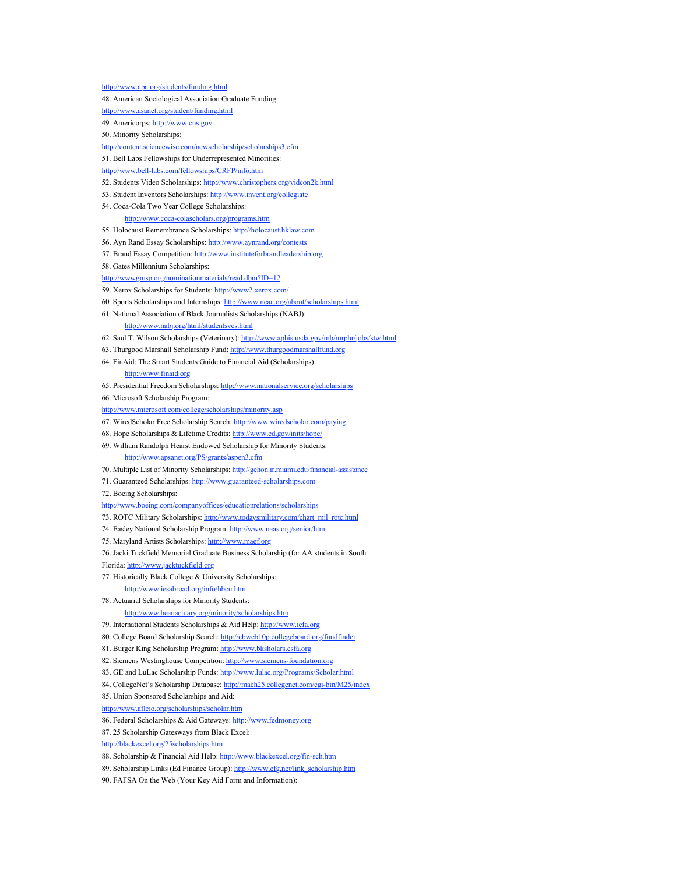<http://www.apa.org/students/funding.html> 48. American Sociological Association Graduate Funding: <http://www.asanet.org/student/funding.html> 49. Americorps: [http://www.cns.gov](http://www.cns.gov/) 50. Minority Scholarships: <http://content.sciencewise.com/newscholarship/scholarships3.cfm> 51. Bell Labs Fellowships for Underrepresented Minorities: <http://www.bell-labs.com/fellowships/CRFP/info.htm> 52. Students Video Scholarships:<http://www.christophers.org/vidcon2k.html> 53. Student Inventors Scholarships: <http://www.invent.org/collegiate> 54. Coca-Cola Two Year College Scholarships: <http://www.coca-colascholars.org/programs.htm> 55. Holocaust Remembrance Scholarships: [http://holocaust.hklaw.com](http://holocaust.hklaw.com/) 56. Ayn Rand Essay Scholarships: <http://www.aynrand.org/contests> 57. Brand Essay Competition: [http://www.instituteforbrandleadership.org](http://www.instituteforbrandleadership.org/) 58. Gates Millennium Scholarships: <http://wwwgmsp.org/nominationmaterials/read.dbm?ID=12> 59. Xerox Scholarships for Students:<http://www2.xerox.com/> 60. Sports Scholarships and Internships:<http://www.ncaa.org/about/scholarships.html> 61. National Association of Black Journalists Scholarships (NABJ): <http://www.nabj.org/html/studentsvcs.html> 62. Saul T. Wilson Scholarships (Veterinary): <http://www.aphis.usda.gov/mb/mrphr/jobs/stw.html> 63. Thurgood Marshall Scholarship Fund: [http://www.thurgoodmarshallfund.org](http://www.thurgoodmarshallfund.org/) 64. FinAid: The Smart Students Guide to Financial Aid (Scholarships): [http://www.finaid.org](http://www.finaid.org/) 65. Presidential Freedom Scholarships:<http://www.nationalservice.org/scholarships> 66. Microsoft Scholarship Program: <http://www.microsoft.com/college/scholarships/minority.asp> 67. WiredScholar Free Scholarship Search: <http://www.wiredscholar.com/paying> 68. Hope Scholarships & Lifetime Credits:<http://www.ed.gov/inits/hope/> 69. William Randolph Hearst Endowed Scholarship for Minority Students: <http://www.apsanet.org/PS/grants/aspen3.cfm> 70. Multiple List of Minority Scholarships:<http://gehon.ir.miami.edu/financial-assistance> 71. Guaranteed Scholarships: [http://www.guaranteed-scholarships.com](http://www.guaranteed-scholarships.com/) 72. Boeing Scholarships: <http://www.boeing.com/companyoffices/educationrelations/scholarships> 73. ROTC Military Scholarships: [http://www.todaysmilitary.com/chart\\_mil\\_rotc.html](http://www.todaysmilitary.com/chart_mil_rotc.html) 74. Easley National Scholarship Program:<http://www.naas.org/senior/htm> 75. Maryland Artists Scholarships: [http://www.maef.org](http://www.maef.org/) 76. Jacki Tuckfield Memorial Graduate Business Scholarship (for AA students in South Florida: [http://www.jacktuckfield.org](http://www.jacktuckfield.org/) 77. Historically Black College & University Scholarships: <http://www.iesabroad.org/info/hbcu.htm> 78. Actuarial Scholarships for Minority Students: <http://www.beanactuary.org/minority/scholarships.htm> 79. International Students Scholarships & Aid Help: [http://www.iefa.org](http://www.iefa.org/) 80. College Board Scholarship Search:<http://cbweb10p.collegeboard.org/fundfinder> 81. Burger King Scholarship Program: [http://www.bksholars.csfa.org](http://www.bksholars.csfa.org/) 82. Siemens Westinghouse Competition: [http://www.siemens-foundation.org](http://www.siemens-foundation.org/) 83. GE and LuLac Scholarship Funds: <http://www.lulac.org/Programs/Scholar.html> 84. CollegeNet's Scholarship Database: <http://mach25.collegenet.com/cgi-bin/M25/index> 85. Union Sponsored Scholarships and Aid: <http://www.aflcio.org/scholarships/scholar.htm> 86. Federal Scholarships & Aid Gateways: [http://www.fedmoney.org](http://www.fedmoney.org/) 87. 25 Scholarship Gatesways from Black Excel:

<http://blackexcel.org/25scholarships.htm>

88. Scholarship & Financial Aid Help:<http://www.blackexcel.org/fin-sch.htm>

89. Scholarship Links (Ed Finance Group): [http://www.efg.net/link\\_scholarship.htm](http://www.efg.net/link_scholarship.htm)

90. FAFSA On the Web (Your Key Aid Form and Information):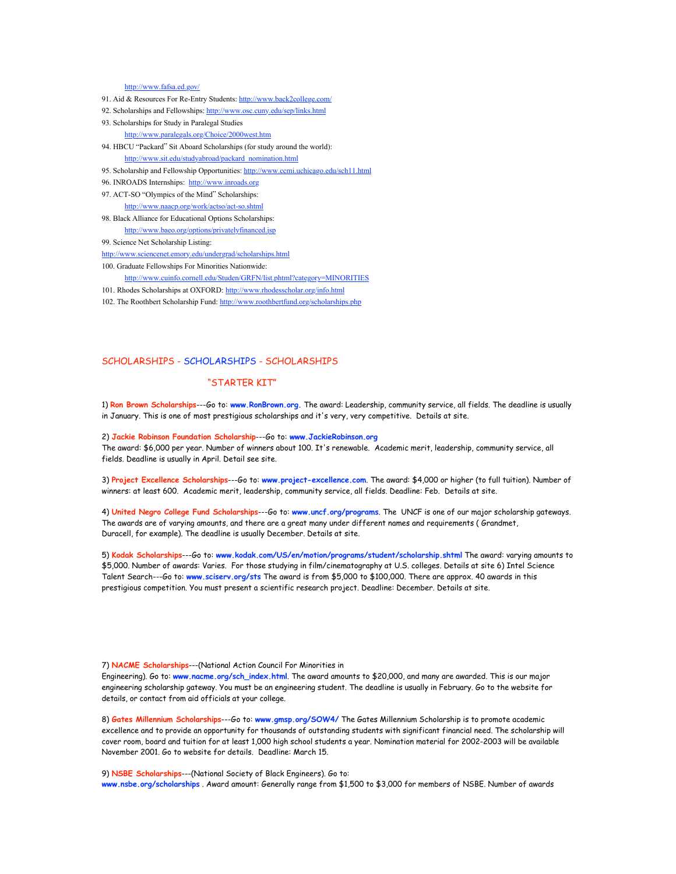#### <http://www.fafsa.ed.gov/>

- 91. Aid & Resources For Re-Entry Students: <http://www.back2college.com/>
- 92. Scholarships and Fellowships:<http://www.osc.cuny.edu/sep/links.html>
- 93. Scholarships for Study in Paralegal Studies

<http://www.paralegals.org/Choice/2000west.htm>

94. HBCU "Packard" Sit Aboard Scholarships (for study around the world):

[http://www.sit.edu/studyabroad/packard\\_nomination.html](http://www.sit.edu/studyabroad/packard_nomination.html)

- 95. Scholarship and Fellowship Opportunities: <http://www.ccmi.uchicago.edu/sch11.html>
- 96. INROADS Internships: [http://www.inroads.org](http://www.inroads.org/)
- 97. ACT-SO "Olympics of the Mind" Scholarships:

<http://www.naacp.org/work/actso/act-so.shtml>

- 98. Black Alliance for Educational Options Scholarships: <http://www.baeo.org/options/privatelyfinanced.jsp>
- 99. Science Net Scholarship Listing:

<http://www.sciencenet.emory.edu/undergrad/scholarships.html>

- 100. Graduate Fellowships For Minorities Nationwide:
	- <http://www.cuinfo.cornell.edu/Studen/GRFN/list.phtml?category=MINORITIES>
- 101. Rhodes Scholarships at OXFORD:<http://www.rhodesscholar.org/info.html>
- 102. The Roothbert Scholarship Fund:<http://www.roothbertfund.org/scholarships.php>

## SCHOLARSHIPS - SCHOLARSHIPS - SCHOLARSHIPS

# "STARTER KIT"

1) **Ron Brown Scholarships**---Go to: **www.RonBrown.org.** The award: Leadership, community service, all fields. The deadline is usually in January. This is one of most prestigious scholarships and it's very, very competitive. Details at site.

2) **Jackie Robinson Foundation Scholarship**---Go to: **www.JackieRobinson.org**

The award: \$6,000 per year. Number of winners about 100. It's renewable. Academic merit, leadership, community service, all fields. Deadline is usually in April. Detail see site.

3) **Project Excellence Scholarships**---Go to: **www.project-excellence.com**. The award: \$4,000 or higher (to full tuition). Number of winners: at least 600. Academic merit, leadership, community service, all fields. Deadline: Feb. Details at site.

4) **United Negro College Fund Scholarships**---Go to: **www.uncf.org/programs**. The UNCF is one of our major scholarship gateways. The awards are of varying amounts, and there are a great many under different names and requirements ( Grandmet, Duracell, for example). The deadline is usually December. Details at site.

5) **Kodak Scholarships**---Go to: **[www.kodak.com/US/en/motion/programs/student/scholarship.shtml](http://www.kodak.com/US/en/motion/programs/student/scholarship.shtml)** The award: varying amounts to \$5,000. Number of awards: Varies. For those studying in film/cinematography at U.S. colleges. Details at site 6) Intel Science Talent Search---Go to: **www.sciserv.org/sts** The award is from \$5,000 to \$100,000. There are approx. 40 awards in this prestigious competition. You must present a scientific research project. Deadline: December. Details at site.

7) **NACME Scholarships**---(National Action Council For Minorities in

Engineering). Go to: **www.nacme.org/sch\_index.html**. The award amounts to \$20,000, and many are awarded. This is our major engineering scholarship gateway. You must be an engineering student. The deadline is usually in February. Go to the website for details, or contact from aid officials at your college.

8) **Gates Millennium Scholarships**---Go to: **www.gmsp.org/SOW4/** The Gates Millennium Scholarship is to promote academic excellence and to provide an opportunity for thousands of outstanding students with significant financial need. The scholarship will cover room, board and tuition for at least 1,000 high school students a year. Nomination material for 2002-2003 will be available November 2001. Go to website for details. Deadline: March 15.

9) **NSBE Scholarships**---(National Society of Black Engineers). Go to: **www.nsbe.org/scholarships** . Award amount: Generally range from \$1,500 to \$3,000 for members of NSBE. Number of awards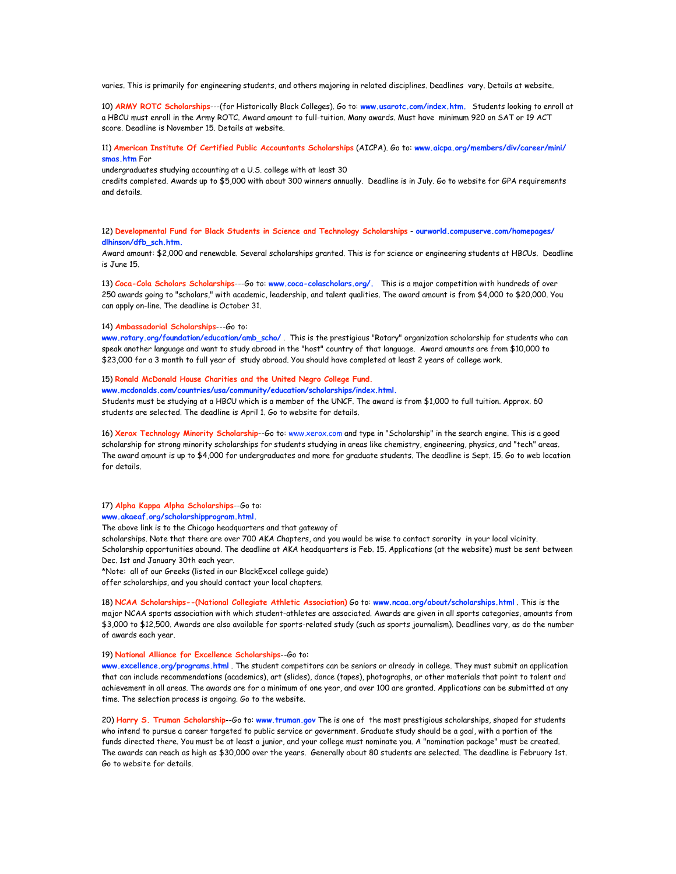varies. This is primarily for engineering students, and others majoring in related disciplines. Deadlines vary. Details at website.

10) **ARMY ROTC Scholarships**---(for Historically Black Colleges). Go to: **[www.usarotc.com/index.htm.](http://www.usarotc.com/index.htm)** Students looking to enroll at a HBCU must enroll in the Army ROTC. Award amount to full-tuition. Many awards. Must have minimum 920 on SAT or 19 ACT score. Deadline is November 15. Details at website.

# 11) **American Institute Of Certified Public Accountants Scholarships** (AICPA). Go to: **www.aicpa.org/members/div/career/mini/ smas.htm** For

undergraduates studying accounting at a U.S. college with at least 30

credits completed. Awards up to \$5,000 with about 300 winners annually. Deadline is in July. Go to website for GPA requirements and details.

12) **Developmental Fund for Black Students in Science and Technology Scholarships** - **ourworld.compuserve.com/homepages/ dlhinson/dfb\_sch.htm.**

Award amount: \$2,000 and renewable. Several scholarships granted. This is for science or engineering students at HBCUs. Deadline is June 15.

13) **Coca-Cola Scholars Scholarships**---Go to: **[www.coca-colascholars.org/.](http://www.coca-colascholars.org/)** This is a major competition with hundreds of over 250 awards going to "scholars," with academic, leadership, and talent qualities. The award amount is from \$4,000 to \$20,000. You can apply on-line. The deadline is October 31.

## 14) **Ambassadorial Scholarships**---Go to:

**www.rotary.org/foundation/education/amb\_scho/** . This is the prestigious "Rotary" organization scholarship for students who can speak another language and want to study abroad in the "host" country of that language. Award amounts are from \$10,000 to \$23,000 for a 3 month to full year of study abroad. You should have completed at least 2 years of college work.

## 15) **Ronald McDonald House Charities and the United Negro College Fund.**

**[www.mcdonalds.com/countries/usa/community/education/scholarships/index.html.](http://www.mcdonalds.com/countries/usa/community/education/scholarships/index.html)**

Students must be studying at a HBCU which is a member of the UNCF. The award is from \$1,000 to full tuition. Approx. 60 students are selected. The deadline is April 1. Go to website for details.

16) **Xerox Technology Minority Scholarship**--Go to: www.xerox.com and type in "Scholarship" in the search engine. This is a good scholarship for strong minority scholarships for students studying in areas like chemistry, engineering, physics, and "tech" areas. The award amount is up to \$4,000 for undergraduates and more for graduate students. The deadline is Sept. 15. Go to web location for details.

# 17) **Alpha Kappa Alpha Scholarships**--Go to:

**[www.akaeaf.org/scholarshipprogram.html.](http://www.akaeaf.org/scholarshipprogram.html)**

The above link is to the Chicago headquarters and that gateway of

scholarships. Note that there are over 700 AKA Chapters, and you would be wise to contact sorority in your local vicinity. Scholarship opportunities abound. The deadline at AKA headquarters is Feb. 15. Applications (at the website) must be sent between Dec. 1st and January 30th each year.

\*Note: all of our Greeks (listed in our BlackExcel college guide)

offer scholarships, and you should contact your local chapters.

18) **NCAA Scholarships--(National Collegiate Athletic Association)** Go to: **www.ncaa.org/about/scholarships.html** . This is the major NCAA sports association with which student-athletes are associated. Awards are given in all sports categories, amounts from \$3,000 to \$12,500. Awards are also available for sports-related study (such as sports journalism). Deadlines vary, as do the number of awards each year.

# 19) **National Alliance for Excellence Scholarships**--Go to:

**www.excellence.org/programs.html** . The student competitors can be seniors or already in college. They must submit an application that can include recommendations (academics), art (slides), dance (tapes), photographs, or other materials that point to talent and achievement in all areas. The awards are for a minimum of one year, and over 100 are granted. Applications can be submitted at any time. The selection process is ongoing. Go to the website.

20) **Harry S. Truman Scholarship**--Go to: **www.truman.gov** The is one of the most prestigious scholarships, shaped for students who intend to pursue a career targeted to public service or government. Graduate study should be a goal, with a portion of the funds directed there. You must be at least a junior, and your college must nominate you. A "nomination package" must be created. The awards can reach as high as \$30,000 over the years. Generally about 80 students are selected. The deadline is February 1st. Go to website for details.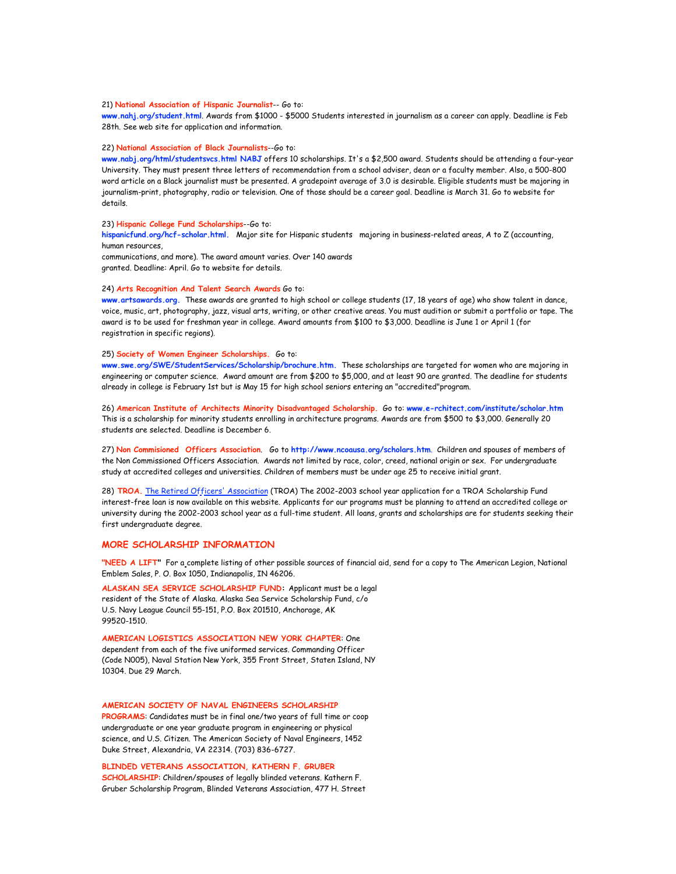# 21) **National Association of Hispanic Journalist**-- Go to:

**www.nahj.org/student.html**. Awards from \$1000 - \$5000 Students interested in journalism as a career can apply. Deadline is Feb 28th. See web site for application and information.

#### 22) **National Association of Black Journalists**--Go to:

**www.nabj.org/html/studentsvcs.html NABJ** offers 10 scholarships. It's a \$2,500 award. Students should be attending a four-year University. They must present three letters of recommendation from a school adviser, dean or a faculty member. Also, a 500-800 word article on a Black journalist must be presented. A gradepoint average of 3.0 is desirable. Eligible students must be majoring in journalism-print, photography, radio or television. One of those should be a career goal. Deadline is March 31. Go to website for details.

# 23) **Hispanic College Fund Scholarships**--Go to:

**hispanicfund.org/hcf-scholar.html.** Major site for Hispanic students majoring in business-related areas, A to Z (accounting, human resources,

communications, and more). The award amount varies. Over 140 awards granted. Deadline: April. Go to website for details.

# 24) **Arts Recognition And Talent Search Awards** Go to:

**[www.artsawards.org.](http://www.artsawards.org/)** These awards are granted to high school or college students (17, 18 years of age) who show talent in dance, voice, music, art, photography, jazz, visual arts, writing, or other creative areas. You must audition or submit a portfolio or tape. The award is to be used for freshman year in college. Award amounts from \$100 to \$3,000. Deadline is June 1 or April 1 (for registration in specific regions).

# 25) **Society of Women Engineer Scholarships.** Go to:

**[www.swe.org/SWE/StudentServices/Scholarship/brochure.htm](http://www.swe.org/SWE/StudentServices/Scholarship/brochure.htm).** These scholarships are targeted for women who are majoring in engineering or computer science. Award amount are from \$200 to \$5,000, and at least 90 are granted. The deadline for students already in college is February 1st but is May 15 for high school seniors entering an "accredited"program.

26) **American Institute of Architects Minority Disadvantaged Scholarship.** Go to: **www.e-rchitect.com/institute/scholar.htm** This is a scholarship for minority students enrolling in architecture programs. Awards are from \$500 to \$3,000. Generally 20 students are selected. Deadline is December 6.

27) **Non Commisioned Officers Association**. Go to **<http://www.ncoausa.org/scholars.htm>**. Children and spouses of members of the Non Commissioned Officers Association. Awards not limited by race, color, creed, national origin or sex. For undergraduate study at accredited colleges and universities. Children of members must be under age 25 to receive initial grant.

28) **TROA.** [The Retired Officers' Association](http://www.troa.org/Education/) (TROA) The 2002-2003 school year application for a TROA Scholarship Fund interest-free loan is now available on this website. Applicants for our programs must be planning to attend an accredited college or university during the 2002-2003 school year as a full-time student. All loans, grants and scholarships are for students seeking their first undergraduate degree.

# **MORE SCHOLARSHIP INFORMATION**

**"NEED A LIFT"** For a complete listing of other possible sources of financial aid, send for a copy to The American Legion, National Emblem Sales, P. O. Box 1050, Indianapolis, IN 46206.

**ALASKAN SEA SERVICE SCHOLARSHIP FUND:** Applicant must be a legal resident of the State of Alaska. Alaska Sea Service Scholarship Fund, c/o U.S. Navy League Council 55-151, P.O. Box 201510, Anchorage, AK 99520-1510.

**AMERICAN LOGISTICS ASSOCIATION NEW YORK CHAPTER**: One dependent from each of the five uniformed services. Commanding Officer (Code N005), Naval Station New York, 355 Front Street, Staten Island, NY 10304. Due 29 March.

**AMERICAN SOCIETY OF NAVAL ENGINEERS SCHOLARSHIP** 

**PROGRAMS**: Candidates must be in final one/two years of full time or coop undergraduate or one year graduate program in engineering or physical science, and U.S. Citizen. The American Society of Naval Engineers, 1452 Duke Street, Alexandria, VA 22314. (703) 836-6727.

**BLINDED VETERANS ASSOCIATION, KATHERN F. GRUBER SCHOLARSHIP**: Children/spouses of legally blinded veterans. Kathern F. Gruber Scholarship Program, Blinded Veterans Association, 477 H. Street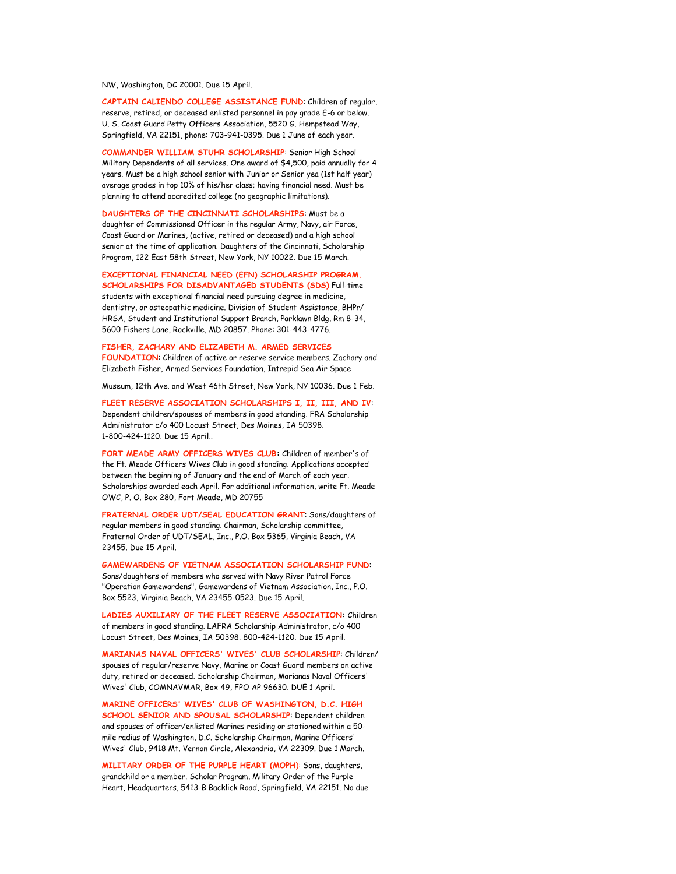NW, Washington, DC 20001. Due 15 April.

**CAPTAIN CALIENDO COLLEGE ASSISTANCE FUND**: Children of regular, reserve, retired, or deceased enlisted personnel in pay grade E-6 or below. U. S. Coast Guard Petty Officers Association, 5520 G. Hempstead Way, Springfield, VA 22151, phone: 703-941-0395. Due 1 June of each year.

**COMMANDER WILLIAM STUHR SCHOLARSHIP**: Senior High School Military Dependents of all services. One award of \$4,500, paid annually for 4 years. Must be a high school senior with Junior or Senior yea (1st half year) average grades in top 10% of his/her class; having financial need. Must be planning to attend accredited college (no geographic limitations).

#### **DAUGHTERS OF THE CINCINNATI SCHOLARSHIPS**: Must be a

daughter of Commissioned Officer in the regular Army, Navy, air Force, Coast Guard or Marines, (active, retired or deceased) and a high school senior at the time of application. Daughters of the Cincinnati, Scholarship Program, 122 East 58th Street, New York, NY 10022. Due 15 March.

**EXCEPTIONAL FINANCIAL NEED (EFN) SCHOLARSHIP PROGRAM. SCHOLARSHIPS FOR DISADVANTAGED STUDENTS (SDS)** Full-time

students with exceptional financial need pursuing degree in medicine, dentistry, or osteopathic medicine. Division of Student Assistance, BHPr/ HRSA, Student and Institutional Support Branch, Parklawn Bldg, Rm 8-34, 5600 Fishers Lane, Rockville, MD 20857. Phone: 301-443-4776.

**FISHER, ZACHARY AND ELIZABETH M. ARMED SERVICES FOUNDATION**: Children of active or reserve service members. Zachary and Elizabeth Fisher, Armed Services Foundation, Intrepid Sea Air Space

Museum, 12th Ave. and West 46th Street, New York, NY 10036. Due 1 Feb.

**FLEET RESERVE ASSOCIATION SCHOLARSHIPS I, II, III, AND IV**: Dependent children/spouses of members in good standing. FRA Scholarship Administrator c/o 400 Locust Street, Des Moines, IA 50398. 1-800-424-1120. Due 15 April..

**FORT MEADE ARMY OFFICERS WIVES CLUB:** Children of member's of the Ft. Meade Officers Wives Club in good standing. Applications accepted between the beginning of January and the end of March of each year. Scholarships awarded each April. For additional information, write Ft. Meade OWC, P. O. Box 280, Fort Meade, MD 20755

**FRATERNAL ORDER UDT/SEAL EDUCATION GRANT**: Sons/daughters of regular members in good standing. Chairman, Scholarship committee, Fraternal Order of UDT/SEAL, Inc., P.O. Box 5365, Virginia Beach, VA 23455. Due 15 April.

**GAMEWARDENS OF VIETNAM ASSOCIATION SCHOLARSHIP FUND**: Sons/daughters of members who served with Navy River Patrol Force "Operation Gamewardens", Gamewardens of Vietnam Association, Inc., P.O. Box 5523, Virginia Beach, VA 23455-0523. Due 15 April.

**LADIES AUXILIARY OF THE FLEET RESERVE ASSOCIATION:** Children of members in good standing. LAFRA Scholarship Administrator, c/o 400 Locust Street, Des Moines, IA 50398. 800-424-1120. Due 15 April.

**MARIANAS NAVAL OFFICERS' WIVES' CLUB SCHOLARSHIP**: Children/ spouses of regular/reserve Navy, Marine or Coast Guard members on active duty, retired or deceased. Scholarship Chairman, Marianas Naval Officers' Wives' Club, COMNAVMAR, Box 49, FPO AP 96630. DUE 1 April.

**MARINE OFFICERS' WIVES' CLUB OF WASHINGTON, D.C. HIGH SCHOOL SENIOR AND SPOUSAL SCHOLARSHIP**: Dependent children and spouses of officer/enlisted Marines residing or stationed within a 50 mile radius of Washington, D.C. Scholarship Chairman, Marine Officers' Wives' Club, 9418 Mt. Vernon Circle, Alexandria, VA 22309. Due 1 March.

**MILITARY ORDER OF THE PURPLE HEART (MOPH**): Sons, daughters, grandchild or a member. Scholar Program, Military Order of the Purple Heart, Headquarters, 5413-B Backlick Road, Springfield, VA 22151. No due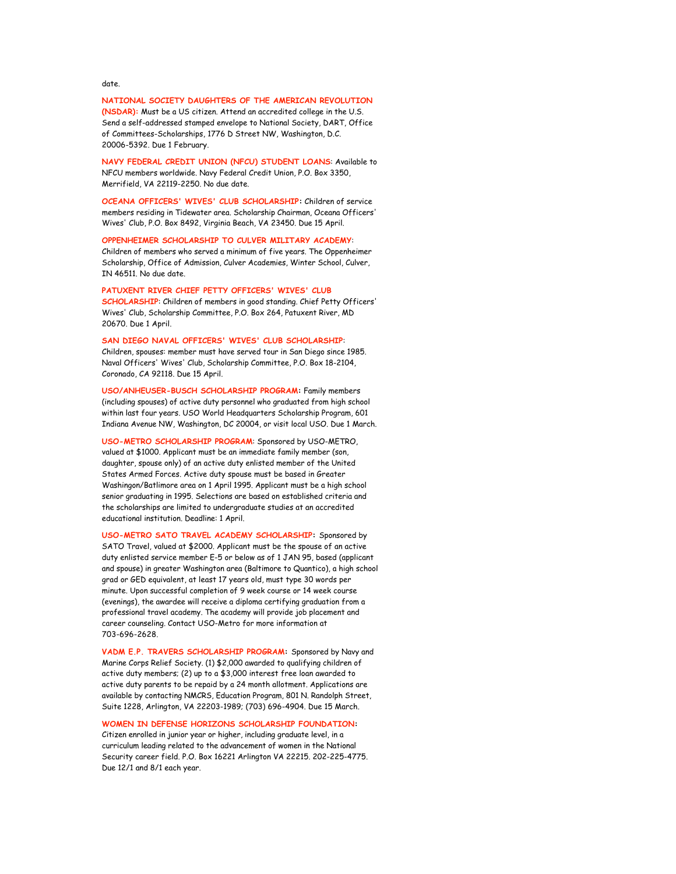# date.

**NATIONAL SOCIETY DAUGHTERS OF THE AMERICAN REVOLUTION (NSDAR):** Must be a US citizen. Attend an accredited college in the U.S. Send a self-addressed stamped envelope to National Society, DART, Office of Committees-Scholarships, 1776 D Street NW, Washington, D.C. 20006-5392. Due 1 February.

**NAVY FEDERAL CREDIT UNION (NFCU) STUDENT LOANS**: Available to NFCU members worldwide. Navy Federal Credit Union, P.O. Box 3350, Merrifield, VA 22119-2250. No due date.

**OCEANA OFFICERS' WIVES' CLUB SCHOLARSHIP:** Children of service members residing in Tidewater area. Scholarship Chairman, Oceana Officers' Wives' Club, P.O. Box 8492, Virginia Beach, VA 23450. Due 15 April.

**OPPENHEIMER SCHOLARSHIP TO CULVER MILITARY ACADEMY**: Children of members who served a minimum of five years. The Oppenheimer Scholarship, Office of Admission, Culver Academies, Winter School, Culver, IN 46511. No due date.

**PATUXENT RIVER CHIEF PETTY OFFICERS' WIVES' CLUB SCHOLARSHIP**: Children of members in good standing. Chief Petty Officers' Wives' Club, Scholarship Committee, P.O. Box 264, Patuxent River, MD 20670. Due 1 April.

# **SAN DIEGO NAVAL OFFICERS' WIVES' CLUB SCHOLARSHIP**:

Children, spouses: member must have served tour in San Diego since 1985. Naval Officers' Wives' Club, Scholarship Committee, P.O. Box 18-2104, Coronado, CA 92118. Due 15 April.

**USO/ANHEUSER-BUSCH SCHOLARSHIP PROGRAM:** Family members (including spouses) of active duty personnel who graduated from high school within last four years. USO World Headquarters Scholarship Program, 601 Indiana Avenue NW, Washington, DC 20004, or visit local USO. Due 1 March.

**USO-METRO SCHOLARSHIP PROGRAM**: Sponsored by USO-METRO, valued at \$1000. Applicant must be an immediate family member (son, daughter, spouse only) of an active duty enlisted member of the United States Armed Forces. Active duty spouse must be based in Greater Washingon/Batlimore area on 1 April 1995. Applicant must be a high school senior graduating in 1995. Selections are based on established criteria and the scholarships are limited to undergraduate studies at an accredited educational institution. Deadline: 1 April.

**USO-METRO SATO TRAVEL ACADEMY SCHOLARSHIP:** Sponsored by SATO Travel, valued at \$2000. Applicant must be the spouse of an active duty enlisted service member E-5 or below as of 1 JAN 95, based (applicant and spouse) in greater Washington area (Baltimore to Quantico), a high school grad or GED equivalent, at least 17 years old, must type 30 words per minute. Upon successful completion of 9 week course or 14 week course (evenings), the awardee will receive a diploma certifying graduation from a professional travel academy. The academy will provide job placement and career counseling. Contact USO-Metro for more information at 703-696-2628.

**VADM E.P. TRAVERS SCHOLARSHIP PROGRAM:** Sponsored by Navy and Marine Corps Relief Society. (1) \$2,000 awarded to qualifying children of active duty members; (2) up to a \$3,000 interest free loan awarded to active duty parents to be repaid by a 24 month allotment. Applications are available by contacting NMCRS, Education Program, 801 N. Randolph Street, Suite 1228, Arlington, VA 22203-1989; (703) 696-4904. Due 15 March.

# **WOMEN IN DEFENSE HORIZONS SCHOLARSHIP FOUNDATION:**

Citizen enrolled in junior year or higher, including graduate level, in a curriculum leading related to the advancement of women in the National Security career field. P.O. Box 16221 Arlington VA 22215. 202-225-4775. Due 12/1 and 8/1 each year.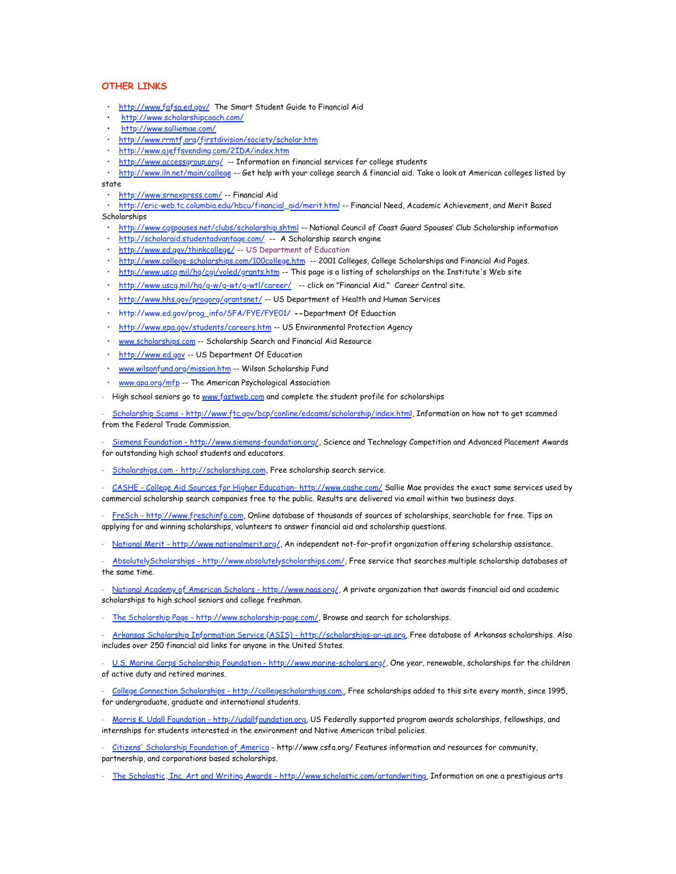# **OTHER LINKS**

- <http://www.fafsa.ed.gov/> The Smart Student Guide to Financial Aid
- <http://www.scholarshipcoach.com/>
- <http://www.salliemae.com/>
- <http://www.rrmtf.org/firstdivision/society/scholar.htm>
- <http://www.ajeffsvending.com/2IDA/index.htm>
- <http://www.accessgroup.org/> -- Information on financial services for college students

• <http://www.iln.net/main/college> -- Get help with your college search & financial aid. Take a look at American colleges listed by state

• <http://www.srnexpress.com/> -- Financial Aid

• [http://eric-web.tc.columbia.edu/hbcu/financial\\_aid/merit.html](http://eric-web.tc.columbia.edu/hbcu/financial_aid/merit.html) -- Financial Need, Academic Achievement, and Merit Based Scholarships

- <http://www.cgspouses.net/clubs/scholarship.shtml>-- National Council of Coast Guard Spouses' Club Scholarship information
- <http://scholaraid.studentadvantage.com/> -- A Scholarship search engine
- <http://www.ed.gov/thinkcollege/> -- US Department of Education
- <http://www.college-scholarships.com/100college.htm> -- 2001 Colleges, College Scholarships and Financial Aid Pages.
- <u><http://www.uscg.mil/hq/cgi/voled/grants.htm></u> -- This page is a listing of scholarships on the Institute's Web site
- <http://www.uscg.mil/hq/g-w/g-wt/g-wtl/career/> -- click on "Financial Aid." Career Central site.
- <http://www.hhs.gov/progorg/grantsnet/>-- US Department of Health and Human Services
- [http://www.ed.gov/prog\\_info/SFA/FYE/FYE01/](http://www.ed.gov/prog_info/SFA/FYE/FYE01/) **--**Department Of Eduaction
- <http://www.epa.gov/students/careers.htm>-- US Environmental Protection Agency
- [www.scholarships.com](http://www.scholarships.com/) -- Scholarship Search and Financial Aid Resource
- · [http://www.ed.gov](http://www.ed.gov/) -- US Department Of Education
- [www.wilsonfund.org/mission.htm](http://www.wilsonfund.org/mission.htm) -- Wilson Scholarship Fund
- [www.apa.org/mfp](http://www.apa.org/mfp) -- The American Psychological Association
- · High school seniors go to [www.fastweb.com](http://www.fastweb.com/) and complete the student profile for scholarships

· [Scholarship Scams - http://www.ftc.gov/bcp/conline/edcams/scholarship/index.html](http://www.ftc.gov/bcp/conline/edcams/scholarship/index.html), Information on how not to get scammed from the Federal Trade Commission.

[Siemens Foundation - http://www.siemens-foundation.org/,](http://www.siemens-foundation.org/) Science and Technology Competition and Advanced Placement Awards for outstanding high school students and educators.

· [Scholarships.com - http://scholarships.com,](http://scholarships.com/) Free scholarship search service.

· [CASHE - College Aid Sources for Higher Education- http://www.cashe.com/](http://www.cashe.com/) Sallie Mae provides the exact same services used by commercial scholarship search companies free to the public. Results are delivered via email within two business days.

[FreSch - http://www.freschinfo.com](http://www.freschinfo.com/), Online database of thousands of sources of scholarships, searchable for free. Tips on applying for and winning scholarships, volunteers to answer financial aid and scholarship questions.

· [National Merit - http://www.nationalmerit.org/,](http://www.nationalmerit.org/) An independent not-for-profit organization offering scholarship assistance.

· [AbsolutelyScholarships - http://www.absolutelyscholarships.com/](http://www.absolutelyscholarships.com/), Free service that searches multiple scholarship databases at the same time.

[National Academy of American Scholars - http://www.naas.org/,](http://www.naas.org/) A private organization that awards financial aid and academic scholarships to high school seniors and college freshman.

[The Scholarship Page - http://www.scholarship-page.com/,](http://www.scholarship-page.com/) Browse and search for scholarships.

· [Arkansas Scholarship Information Service \(ASIS\) - http://scholarships-ar-us.org](http://scholarships-ar-us.org/), Free database of Arkansas scholarships. Also includes over 250 financial aid links for anyone in the United States.

. [U.S. Marine Corps Scholarship Foundation - http://www.marine-scholars.org/,](http://www.marine-scholars.org/) One year, renewable, scholarships for the children of active duty and retired marines.

· [College Connection Scholarships - http://collegescholarships.com,](http://collegescholarships.com/), Free scholarships added to this site every month, since 1995, for undergraduate, graduate and international students.

· [Morris K. Udall Foundation - http://udallfoundation.org](http://udallfoundation.org/), US Federally supported program awards scholarships, fellowships, and internships for students interested in the environment and Native American tribal policies.

· [Citizens' Scholarship Foundation of America](http://www.csfa.org/) - http://www.csfa.org/ Features information and resources for community, partnership, and corporations based scholarships.

[The Scholastic, Inc. Art and Writing Awards - http://www.scholastic.com/artandwriting,](http://www.scholastic.com/artandwriting) Information on one a prestigious arts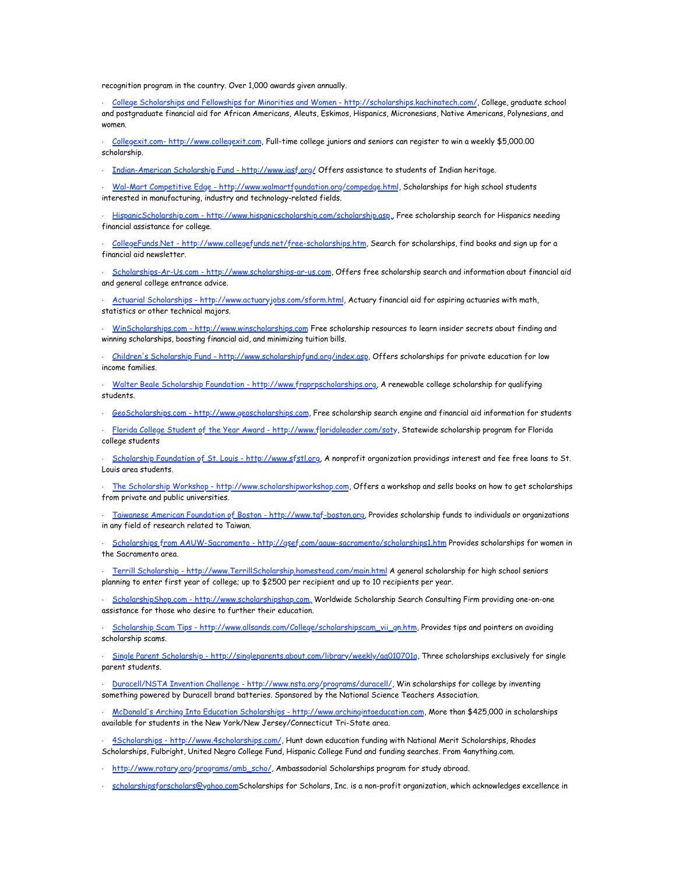recognition program in the country. Over 1,000 awards given annually.

· [College Scholarships and Fellowships for Minorities and Women - http://scholarships.kachinatech.com/](http://scholarships.kachinatech.com/), College, graduate school and postgraduate financial aid for African Americans, Aleuts, Eskimos, Hispanics, Micronesians, Native Americans, Polynesians, and women.

· [Collegexit.com- http://www.collegexit.com,](http://www.collegexit.com/) Full-time college juniors and seniors can register to win a weekly \$5,000.00 scholarship.

· [Indian-American Scholarship Fund - http://www.iasf.org/](http://www.iasf.org/) Offers assistance to students of Indian heritage.

· [Wal-Mart Competitive Edge - http://www.walmartfoundation.org/compedge.html](http://www.walmartfoundation.org/compedge.html), Scholarships for high school students interested in manufacturing, industry and technology-related fields.

· [HispanicScholarship.com - http://www.hispanicscholarship.com/scholarship.asp,](http://www.hispanicscholarship.com/scholarship.asp), Free scholarship search for Hispanics needing financial assistance for college.

· [CollegeFunds.Net - http://www.collegefunds.net/free-scholarships.htm,](http://www.collegefunds.net/free-scholarships.htm) Search for scholarships, find books and sign up for a financial aid newsletter.

· [Scholarships-Ar-Us.com - http://www.scholarships-ar-us.com](http://www.scholarships-ar-us.com/), Offers free scholarship search and information about financial aid and general college entrance advice.

· [Actuarial Scholarships - http://www.actuaryjobs.com/sform.html](http://www.actuaryjobs.com/sform.html), Actuary financial aid for aspiring actuaries with math, statistics or other technical majors.

[WinScholarships.com - http://www.winscholarships.com](http://www.winscholarships.com/) Free scholarship resources to learn insider secrets about finding and winning scholarships, boosting financial aid, and minimizing tuition bills.

· [Children's Scholarship Fund - http://www.scholarshipfund.org/index.asp,](http://www.scholarshipfund.org/index.asp) Offers scholarships for private education for low income families.

· [Walter Beale Scholarship Foundation - http://www.fraprpscholarships.org,](http://www.fraprpscholarships.org/) A renewable college scholarship for qualifying students.

· [GeoScholarships.com - http://www.geoscholarships.com,](http://www.geoscholarships.com/) Free scholarship search engine and financial aid information for students

· [Florida College Student of the Year Award - http://www.floridaleader.com/soty,](http://www.floridaleader.com/soty) Statewide scholarship program for Florida college students

· [Scholarship Foundation of St. Louis - http://www.sfstl.org,](http://www.sfstl.org/) A nonprofit organization providings interest and fee free loans to St. Louis area students.

[The Scholarship Workshop - http://www.scholarshipworkshop.com](http://www.scholarshipworkshop.com/), Offers a workshop and sells books on how to get scholarships from private and public universities.

[Taiwanese American Foundation of Boston - http://www.taf-boston.org](http://www.taf-boston.org/), Provides scholarship funds to individuals or organizations in any field of research related to Taiwan.

[Scholarships from AAUW-Sacramento - http://gsef.com/aauw-sacramento/scholarships1.htm](http://gsef.com/aauw-sacramento/scholarships1.htm) Provides scholarships for women in the Sacramento area.

· [Terrill Scholarship - http://www.TerrillScholarship.homestead.com/main.html](http://www.TerrillScholarship.homestead.com/main.html) A general scholarship for high school seniors planning to enter first year of college; up to \$2500 per recipient and up to 10 recipients per year.

· [ScholarshipShop.com - http://www.scholarshipshop.com,](http://www.scholarshipshop.com/) Worldwide Scholarship Search Consulting Firm providing one-on-one assistance for those who desire to further their education.

· [Scholarship Scam Tips - http://www.allsands.com/College/scholarshipscam\\_vii\\_gn.htm,](http://www.allsands.com/College/scholarshipscam_vii_gn.htm) Provides tips and pointers on avoiding scholarship scams.

· [Single Parent Scholarship - http://singleparents.about.com/library/weekly/aa010701a](http://singleparents.about.com/library/weekly/aa010701a), Three scholarships exclusively for single parent students.

· [Duracell/NSTA Invention Challenge - http://www.nsta.org/programs/duracell/](http://www.nsta.org/programs/duracell/), Win scholarships for college by inventing something powered by Duracell brand batteries. Sponsored by the National Science Teachers Association.

· [McDonald's Arching Into Education Scholarships - http://www.archingintoeducation.com](http://www.archingintoeducation.com/), More than \$425,000 in scholarships available for students in the New York/New Jersey/Connecticut Tri-State area.

[4Scholarships - http://www.4scholarships.com/](http://www.4scholarships.com/), Hunt down education funding with National Merit Scholarships, Rhodes Scholarships, Fulbright, United Negro College Fund, Hispanic College Fund and funding searches. From 4anything.com.

[http://www.rotary.org/programs/amb\\_scho/](http://www.rotary.org/programs/amb_scho/), Ambassadorial Scholarships program for study abroad.

[scholarshipsforscholars@yahoo.com](mailto:scholarshipsforscholars@yahoo.com)Scholarships for Scholars, Inc. is a non-profit organization, which acknowledges excellence in